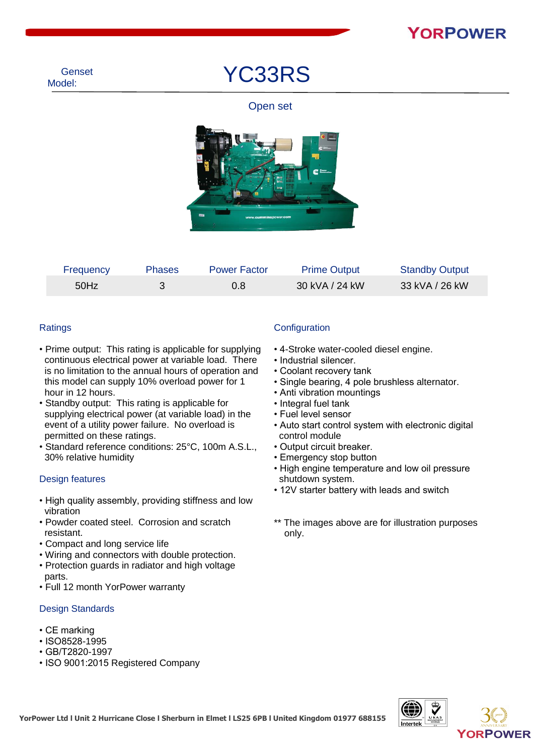YC33RS

#### Open set



| Frequency | <b>Phases</b> | <b>Power Factor</b> | <b>Prime Output</b> | <b>Standby Output</b> |
|-----------|---------------|---------------------|---------------------|-----------------------|
| 50Hz      |               | 0.8                 | 30 kVA / 24 kW      | 33 kVA / 26 kW        |

#### **Ratings**

- Prime output: This rating is applicable for supplying continuous electrical power at variable load. There is no limitation to the annual hours of operation and this model can supply 10% overload power for 1 hour in 12 hours.
- Standby output: This rating is applicable for supplying electrical power (at variable load) in the event of a utility power failure. No overload is permitted on these ratings.
- Standard reference conditions: 25°C, 100m A.S.L., 30% relative humidity

#### Design features

- High quality assembly, providing stiffness and low vibration
- Powder coated steel. Corrosion and scratch resistant.
- Compact and long service life
- Wiring and connectors with double protection.
- Protection guards in radiator and high voltage parts.
- Full 12 month YorPower warranty

#### Design Standards

- CE marking
- ISO8528-1995
- GB/T2820-1997
- ISO 9001:2015 Registered Company

#### **Configuration**

- 4-Stroke water-cooled diesel engine.
- Industrial silencer.
- Coolant recovery tank
- Single bearing, 4 pole brushless alternator.
- Anti vibration mountings
- Integral fuel tank
- Fuel level sensor
- Auto start control system with electronic digital control module
- Output circuit breaker.
- Emergency stop button
- High engine temperature and low oil pressure shutdown system.
- 12V starter battery with leads and switch
- \*\* The images above are for illustration purposes only.